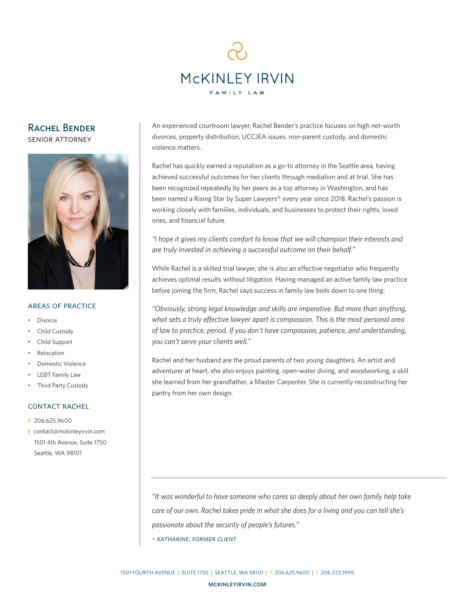

# Rachel Bender

senior attorney



### areas of practice

- Divorce
- Child Custody
- Child Support
- **Relocation**
- Domestic Violence
- LGBT Family Law
- Third Party Custody

# contact rachel

- p 206.625.9600
- e contact@mckinleyirvin.com 1501 4th Avenue, Suite 1750 Seattle, WA 98101

An experienced courtroom lawyer, Rachel Bender's practice focuses on high net-worth divorces, property distribution, UCCJEA issues, non-parent custody, and domestic violence matters.

Rachel has quickly earned a reputation as a go-to attorney in the Seattle area, having achieved successful outcomes for her clients through mediation and at trial. She has been recognized repeatedly by her peers as a top attorney in Washington, and has been named a Rising Star by Super Lawyers® every year since 2018. Rachel's passion is working closely with families, individuals, and businesses to protect their rights, loved ones, and financial future.

*"I hope it gives my clients comfort to know that we will champion their interests and are truly invested in achieving a successful outcome on their behalf."*

While Rachel is a skilled trial lawyer, she is also an effective negotiator who frequently achieves optimal results without litigation. Having managed an active family law practice before joining the firm, Rachel says success in family law boils down to one thing:

*"Obviously, strong legal knowledge and skills are imperative. But more than anything, what sets a truly effective lawyer apart is compassion. This is the most personal area of law to practice, period. If you don't have compassion, patience, and understanding, you can't serve your clients well."*

Rachel and her husband are the proud parents of two young daughters. An artist and adventurer at heart, she also enjoys painting, open-water diving, and woodworking, a skill she learned from her grandfather, a Master Carpenter. She is currently reconstructing her pantry from her own design.

*"It was wonderful to have someone who cares so deeply about her own family help take care of our own. Rachel takes pride in what she does for a living and you can tell she's passionate about the security of people's futures."*

*– katharine, former client*

1501 FOURTH AVENUE | SUITE 1750 | SEATTLE, WA 98101 | P 206.625.9600 | F 206.223.1999

mckinleyirvin.com